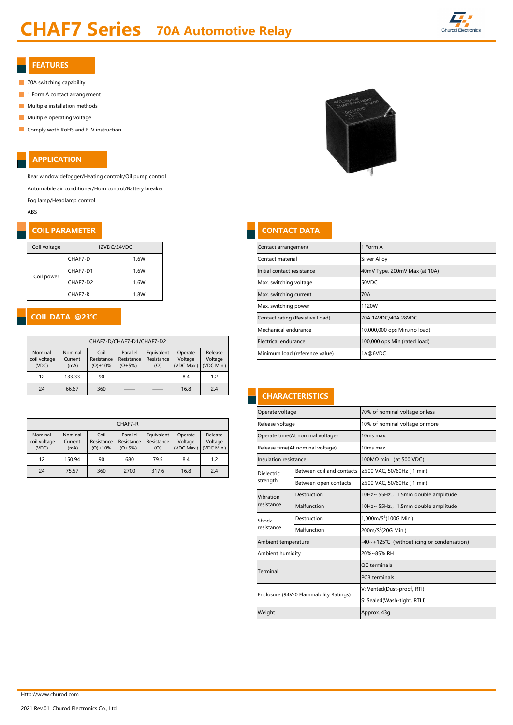Rear window defogger/Heating controlr/Oil pump control Automobile air conditioner/Horn control/Battery breaker

Fog lamp/Headlamp control

ABS

#### **COIL PARAMETER**

Http://www.churod.com

| Coil voltage | 12VDC/24VDC |      |
|--------------|-------------|------|
|              | CHAF7-D     | .6W  |
|              | CHAF7-D1    | 1.6W |
| Coil power   | CHAF7-D2    | .6W  |
|              | CHAF7-R     | 0.8W |

| 12VDC/24VDC             |                      |                           |            |                           |                              | Contact arrangement             | Form A                         |                               |
|-------------------------|----------------------|---------------------------|------------|---------------------------|------------------------------|---------------------------------|--------------------------------|-------------------------------|
| CHAF7-D                 |                      | 1.6W                      |            |                           |                              |                                 | Contact material               | <b>Silver Alloy</b>           |
| CHAF7-D1                |                      | 1.6W                      |            |                           |                              |                                 | Initial contact resistance     | 40mV Type, 200mV Max (at 10A) |
| CHAF7-D2                | 1.6W                 |                           |            |                           | Max. switching voltage       | 50VDC                           |                                |                               |
| CHAF7-R<br>1.8W         |                      |                           |            | Max. switching current    | 170A                         |                                 |                                |                               |
|                         |                      |                           |            |                           |                              |                                 | Max. switching power           | 1120W                         |
| @23°C                   |                      |                           |            |                           |                              | Contact rating (Resistive Load) | 70A 14VDC/40A 28VDC            |                               |
|                         |                      |                           |            | Mechanical endurance      | 10,000,000 ops Min.(no load) |                                 |                                |                               |
|                         |                      | CHAF7-D/CHAF7-D1/CHAF7-D2 |            |                           |                              |                                 | Electrical endurance           | 100,000 ops Min.(rated load)  |
| ominal<br>urrent.       | Coil<br>Resistance L | Parallel                  | Equivalent | Operate<br><b>Voltage</b> | Release<br>Voltage           |                                 | Minimum load (reference value) | 1A@6VDC                       |
| Resistance   Resistance |                      |                           |            |                           |                              |                                 |                                |                               |

## **CHARACTERISTICS**

|                    |                                         |                                        |         | Operate voltage                   | 70% of nominal voltage or less |
|--------------------|-----------------------------------------|----------------------------------------|---------|-----------------------------------|--------------------------------|
| CHAF7-R            |                                         |                                        |         | Release voltage                   | 10% of nominal voltage or more |
| Parallel           | Equivalent                              | Operate                                | Release | Operate time(At nominal voltage)  | 10 <sub>ms</sub> max.          |
| $(\Omega \pm 5\%)$ | Resistance   Resistance  <br>$(\Omega)$ | Voltage<br>l (VDC Max.) I (VDC Min.) I | Voltage | Release time (At nominal voltage) | 10 <sub>ms</sub> max.          |

| Insulation resistance                                                    |                                        | 100MΩ min. (at 500 VDC)                       |  |  |  |  |
|--------------------------------------------------------------------------|----------------------------------------|-----------------------------------------------|--|--|--|--|
| <b>Dielectric</b>                                                        | Between coil and contacts              | $≥$ 500 VAC, 50/60Hz (1 min)                  |  |  |  |  |
| strength                                                                 | Between open contacts                  | $≥$ 500 VAC, 50/60Hz (1 min)                  |  |  |  |  |
| Vibration                                                                | Destruction                            | 10Hz~ 55Hz., 1.5mm double amplitude           |  |  |  |  |
| resistance                                                               | Malfunction                            | 10Hz~ 55Hz., 1.5mm double amplitude           |  |  |  |  |
| Destruction<br>Shock<br>resistance<br>Malfunction<br>Ambient temperature |                                        | 1,000m/ $S^2$ (100G Min.)                     |  |  |  |  |
|                                                                          | 200m/S <sup>2</sup> (20G Min.)         |                                               |  |  |  |  |
|                                                                          |                                        | $-40$ ~+125°C (without icing or condensation) |  |  |  |  |
| Ambient humidity                                                         |                                        | 20%~85% RH                                    |  |  |  |  |
| Terminal                                                                 |                                        | QC terminals                                  |  |  |  |  |
|                                                                          |                                        | <b>PCB</b> terminals                          |  |  |  |  |
|                                                                          |                                        | V: Vented(Dust-proof, RTI)                    |  |  |  |  |
|                                                                          | Enclosure (94V-0 Flammability Ratings) | S: Sealed(Wash-tight, RTIII)                  |  |  |  |  |
| Weight                                                                   |                                        | Approx. 43g                                   |  |  |  |  |

|                                  | CHAF7-D/CHAF7-D1/CHAF7-D2  |                                           |                                              |                                        |                                  |                                  |  |  |  |  |  |  |
|----------------------------------|----------------------------|-------------------------------------------|----------------------------------------------|----------------------------------------|----------------------------------|----------------------------------|--|--|--|--|--|--|
| Nominal<br>coil voltage<br>(VDC) | Nominal<br>Current<br>(mA) | Coil<br>Resistance<br>$(\Omega) \pm 10\%$ | Parallel<br>Resistance<br>$(\Omega \pm 5\%)$ | Equivalent<br>Resistance<br>$(\Omega)$ | Operate<br>Voltage<br>(VDC Max.) | Release<br>Voltage<br>(VDC Min.) |  |  |  |  |  |  |
| 12                               | 133.33                     | 90                                        |                                              |                                        | 8.4                              | 1.2                              |  |  |  |  |  |  |
| 24                               | 66.67                      | 360                                       |                                              |                                        | 16.8                             | 2.4                              |  |  |  |  |  |  |

| CHAF7-R                 |                    |                                                                                                |                    |            |                                               |     |                       | Release voltage                  |  | 10% of nominal voltage or r                               |
|-------------------------|--------------------|------------------------------------------------------------------------------------------------|--------------------|------------|-----------------------------------------------|-----|-----------------------|----------------------------------|--|-----------------------------------------------------------|
| Nominal<br>coil voltage | Nominal<br>Current | Coil<br>Equivalent<br>Parallel<br>Release<br>Operate<br>Resistance<br>Resistance<br>Resistance |                    |            | Operate time(At nominal voltage)              |     | 10 <sub>ms</sub> max. |                                  |  |                                                           |
| (VDC)                   | (mA)               | $(\Omega) \pm 10\%$                                                                            | $(\Omega \pm 5\%)$ | $(\Omega)$ | Voltage<br>Voltage<br>$(VDC Max.)$ (VDC Min.) |     |                       | Release time(At nominal voltage) |  | 10 <sub>ms</sub> max.                                     |
| 12                      | 150.94             | 90                                                                                             | 680                | 79.5       | 8.4                                           | 1.2 |                       | Insulation resistance            |  | $100M\Omega$ min. (at 500 VDC)                            |
| 24                      | 75.57              | 360                                                                                            | 2700               | 317.6      | 16.8                                          | 2.4 | Dielectric            |                                  |  | Between coil and contacts $\geq$ 500 VAC, 50/60Hz (1 min) |



| <b>CONTACT DATA</b> |  |
|---------------------|--|
|                     |  |

#### APPLICATION

# CHAF7 Series 70A Automotive Relay



#### FEATURES

- **70A switching capability**
- **1 Form A contact arrangement**
- **Multiple installation methods**
- **Multiple operating voltage**
- **Comply woth RoHS and ELV instruction**

## COIL DATA @23℃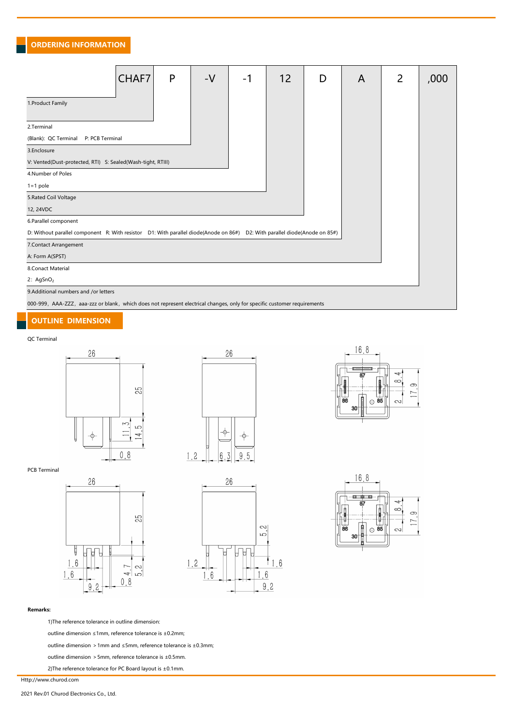|                                                                                                                            | CHAF7 | $\mathsf{P}$ | $-V$ | $-1$ | 12 | D | $\mathsf{A}$ | $\overline{2}$ | ,000 |  |  |
|----------------------------------------------------------------------------------------------------------------------------|-------|--------------|------|------|----|---|--------------|----------------|------|--|--|
| 1. Product Family                                                                                                          |       |              |      |      |    |   |              |                |      |  |  |
| 2.Terminal                                                                                                                 |       |              |      |      |    |   |              |                |      |  |  |
| (Blank): QC Terminal<br>P: PCB Terminal                                                                                    |       |              |      |      |    |   |              |                |      |  |  |
| 3.Enclosure                                                                                                                |       |              |      |      |    |   |              |                |      |  |  |
| V: Vented(Dust-protected, RTI) S: Sealed(Wash-tight, RTIII)                                                                |       |              |      |      |    |   |              |                |      |  |  |
| 4. Number of Poles                                                                                                         |       |              |      |      |    |   |              |                |      |  |  |
| $1=1$ pole                                                                                                                 |       |              |      |      |    |   |              |                |      |  |  |
| 5. Rated Coil Voltage                                                                                                      |       |              |      |      |    |   |              |                |      |  |  |
| 12, 24VDC                                                                                                                  |       |              |      |      |    |   |              |                |      |  |  |
| 6. Parallel component                                                                                                      |       |              |      |      |    |   |              |                |      |  |  |
| D: Without parallel component R: With resistor D1: With parallel diode(Anode on 86#) D2: With parallel diode(Anode on 85#) |       |              |      |      |    |   |              |                |      |  |  |
| 7. Contact Arrangement                                                                                                     |       |              |      |      |    |   |              |                |      |  |  |
| A: Form A(SPST)                                                                                                            |       |              |      |      |    |   |              |                |      |  |  |
| 8. Conact Material                                                                                                         |       |              |      |      |    |   |              |                |      |  |  |
| 2: $AgSnO2$                                                                                                                |       |              |      |      |    |   |              |                |      |  |  |
| 9.Additional numbers and /or letters                                                                                       |       |              |      |      |    |   |              |                |      |  |  |
| 000-999, AAA-ZZZ, aaa-zzz or blank, which does not represent electrical changes, only for specific customer requirements   |       |              |      |      |    |   |              |                |      |  |  |

#### QC Terminal

















#### Remarks:

1)The reference tolerance in outline dimension:

outline dimension ≤1mm, reference tolerance is ±0.2mm;

outline dimension >1mm and ≤5mm, reference tolerance is ±0.3mm;

outline dimension >5mm, reference tolerance is ±0.5mm.

2)The reference tolerance for PC Board layout is ±0.1mm.

Http://www.churod.com

2021 Rev.01 Churod Electronics Co., Ltd.

#### OUTLINE DIMENSION